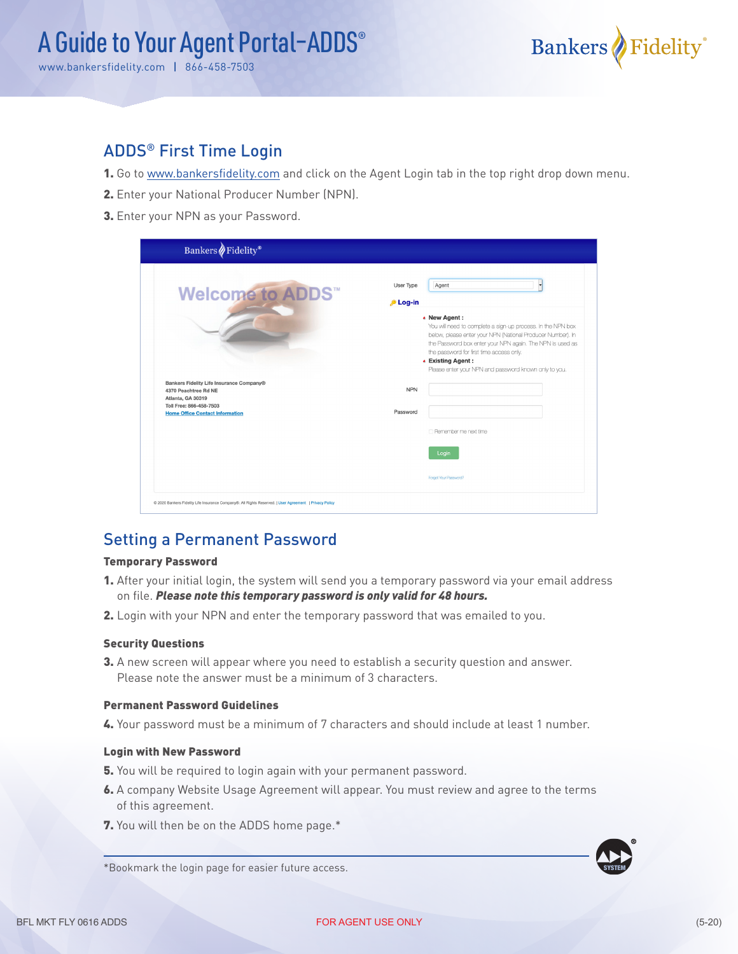

### ADDS® First Time Login

- 1. Go to www.bankersfidelity.com and click on the Agent Login tab in the top right drop down menu.
- 2. Enter your National Producer Number (NPN).
- 3. Enter your NPN as your Password.

| Bankers Fidelity®                        |                                                                              |  |
|------------------------------------------|------------------------------------------------------------------------------|--|
|                                          | Agent<br>User Type                                                           |  |
| <b>Welcome to ADDS</b>                   | <b>D</b> Log-in                                                              |  |
|                                          |                                                                              |  |
|                                          | • New Agent :<br>You will need to complete a sign-up process. In the NPN box |  |
|                                          | below, please enter your NPN (National Producer Number). In                  |  |
|                                          | the Password box enter your NPN again. The NPN is used as                    |  |
|                                          | the password for first time access only.                                     |  |
|                                          | ▲ Existing Agent:                                                            |  |
|                                          | Please enter your NPN and password known only to you.                        |  |
| Bankers Fidelity Life Insurance Company® |                                                                              |  |
| 4370 Peachtree Rd NE                     | <b>NPN</b>                                                                   |  |
| Atlanta, GA 30319                        |                                                                              |  |
| Toll Free: 866-458-7503                  | Password                                                                     |  |
| <b>Home Office Contact Information</b>   |                                                                              |  |
|                                          | □ Remember me next time                                                      |  |
|                                          |                                                                              |  |
|                                          | Login                                                                        |  |
|                                          |                                                                              |  |
|                                          | Forgot Your Password?                                                        |  |
|                                          |                                                                              |  |

## Setting a Permanent Password

#### Temporary Password

- 1. After your initial login, the system will send you a temporary password via your email address on file. *Please note this temporary password is only valid for 48 hours.*
- 2. Login with your NPN and enter the temporary password that was emailed to you.

#### Security Questions

3. A new screen will appear where you need to establish a security question and answer. Please note the answer must be a minimum of 3 characters.

#### Permanent Password Guidelines

4. Your password must be a minimum of 7 characters and should include at least 1 number.

#### Login with New Password

- 5. You will be required to login again with your permanent password.
- 6. A company Website Usage Agreement will appear. You must review and agree to the terms of this agreement.
- 7. You will then be on the ADDS home page.\*



\*Bookmark the login page for easier future access.